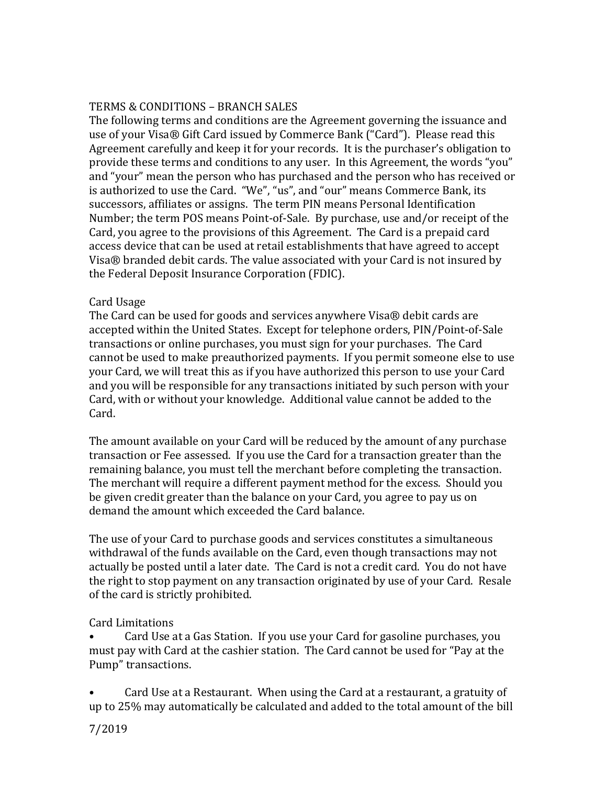## TERMS & CONDITIONS – BRANCH SALES

The following terms and conditions are the Agreement governing the issuance and use of your Visa® Gift Card issued by Commerce Bank ("Card"). Please read this Agreement carefully and keep it for your records. It is the purchaser's obligation to provide these terms and conditions to any user. In this Agreement, the words "you" and "your" mean the person who has purchased and the person who has received or is authorized to use the Card. "We", "us", and "our" means Commerce Bank, its successors, affiliates or assigns. The term PIN means Personal Identification Number; the term POS means Point-of-Sale. By purchase, use and/or receipt of the Card, you agree to the provisions of this Agreement. The Card is a prepaid card access device that can be used at retail establishments that have agreed to accept Visa® branded debit cards. The value associated with your Card is not insured by the Federal Deposit Insurance Corporation (FDIC).

### Card Usage

The Card can be used for goods and services anywhere Visa® debit cards are accepted within the United States. Except for telephone orders, PIN/Point-of-Sale transactions or online purchases, you must sign for your purchases. The Card cannot be used to make preauthorized payments. If you permit someone else to use your Card, we will treat this as if you have authorized this person to use your Card and you will be responsible for any transactions initiated by such person with your Card, with or without your knowledge. Additional value cannot be added to the Card.

The amount available on your Card will be reduced by the amount of any purchase transaction or Fee assessed. If you use the Card for a transaction greater than the remaining balance, you must tell the merchant before completing the transaction. The merchant will require a different payment method for the excess. Should you be given credit greater than the balance on your Card, you agree to pay us on demand the amount which exceeded the Card balance.

The use of your Card to purchase goods and services constitutes a simultaneous withdrawal of the funds available on the Card, even though transactions may not actually be posted until a later date. The Card is not a credit card. You do not have the right to stop payment on any transaction originated by use of your Card. Resale of the card is strictly prohibited.

# Card Limitations

• Card Use at a Gas Station. If you use your Card for gasoline purchases, you must pay with Card at the cashier station. The Card cannot be used for "Pay at the Pump" transactions.

• Card Use at a Restaurant. When using the Card at a restaurant, a gratuity of up to 25% may automatically be calculated and added to the total amount of the bill

7/2019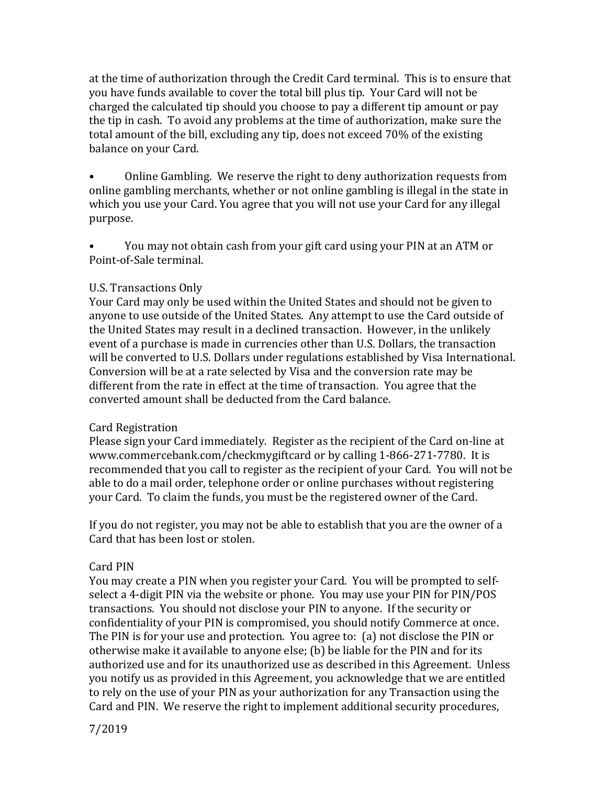at the time of authorization through the Credit Card terminal. This is to ensure that you have funds available to cover the total bill plus tip. Your Card will not be charged the calculated tip should you choose to pay a different tip amount or pay the tip in cash. To avoid any problems at the time of authorization, make sure the total amount of the bill, excluding any tip, does not exceed 70% of the existing balance on your Card.

• Online Gambling. We reserve the right to deny authorization requests from online gambling merchants, whether or not online gambling is illegal in the state in which you use your Card. You agree that you will not use your Card for any illegal purpose.

• You may not obtain cash from your gift card using your PIN at an ATM or Point-of-Sale terminal.

### U.S. Transactions Only

Your Card may only be used within the United States and should not be given to anyone to use outside of the United States. Any attempt to use the Card outside of the United States may result in a declined transaction. However, in the unlikely event of a purchase is made in currencies other than U.S. Dollars, the transaction will be converted to U.S. Dollars under regulations established by Visa International. Conversion will be at a rate selected by Visa and the conversion rate may be different from the rate in effect at the time of transaction. You agree that the converted amount shall be deducted from the Card balance.

### Card Registration

Please sign your Card immediately. Register as the recipient of the Card on-line at www.commercebank.com/checkmygiftcard or by calling 1-866-271-7780. It is recommended that you call to register as the recipient of your Card. You will not be able to do a mail order, telephone order or online purchases without registering your Card. To claim the funds, you must be the registered owner of the Card.

If you do not register, you may not be able to establish that you are the owner of a Card that has been lost or stolen.

# Card PIN

You may create a PIN when you register your Card. You will be prompted to selfselect a 4-digit PIN via the website or phone. You may use your PIN for PIN/POS transactions. You should not disclose your PIN to anyone. If the security or confidentiality of your PIN is compromised, you should notify Commerce at once. The PIN is for your use and protection. You agree to: (a) not disclose the PIN or otherwise make it available to anyone else; (b) be liable for the PIN and for its authorized use and for its unauthorized use as described in this Agreement. Unless you notify us as provided in this Agreement, you acknowledge that we are entitled to rely on the use of your PIN as your authorization for any Transaction using the Card and PIN. We reserve the right to implement additional security procedures,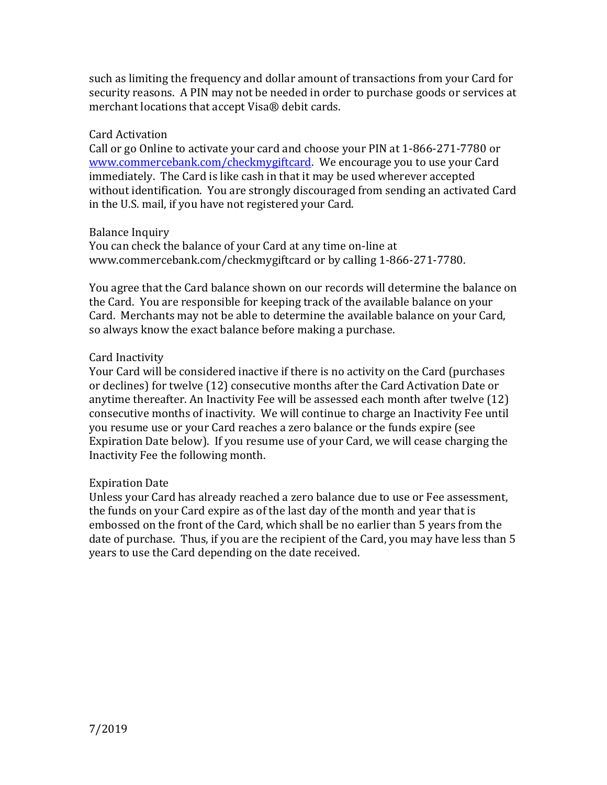such as limiting the frequency and dollar amount of transactions from your Card for security reasons. A PIN may not be needed in order to purchase goods or services at merchant locations that accept Visa® debit cards.

### Card Activation

Call or go Online to activate your card and choose your PIN at 1-866-271-7780 or [www.commercebank.com/checkmygiftcard.](http://www.commercebank.com/checkmygiftcard) We encourage you to use your Card immediately. The Card is like cash in that it may be used wherever accepted without identification. You are strongly discouraged from sending an activated Card in the U.S. mail, if you have not registered your Card.

## Balance Inquiry

You can check the balance of your Card at any time on-line at www.commercebank.com/checkmygiftcard or by calling 1-866-271-7780.

You agree that the Card balance shown on our records will determine the balance on the Card. You are responsible for keeping track of the available balance on your Card. Merchants may not be able to determine the available balance on your Card, so always know the exact balance before making a purchase.

## Card Inactivity

Your Card will be considered inactive if there is no activity on the Card (purchases or declines) for twelve (12) consecutive months after the Card Activation Date or anytime thereafter. An Inactivity Fee will be assessed each month after twelve (12) consecutive months of inactivity. We will continue to charge an Inactivity Fee until you resume use or your Card reaches a zero balance or the funds expire (see Expiration Date below). If you resume use of your Card, we will cease charging the Inactivity Fee the following month.

### Expiration Date

Unless your Card has already reached a zero balance due to use or Fee assessment, the funds on your Card expire as of the last day of the month and year that is embossed on the front of the Card, which shall be no earlier than 5 years from the date of purchase. Thus, if you are the recipient of the Card, you may have less than 5 years to use the Card depending on the date received.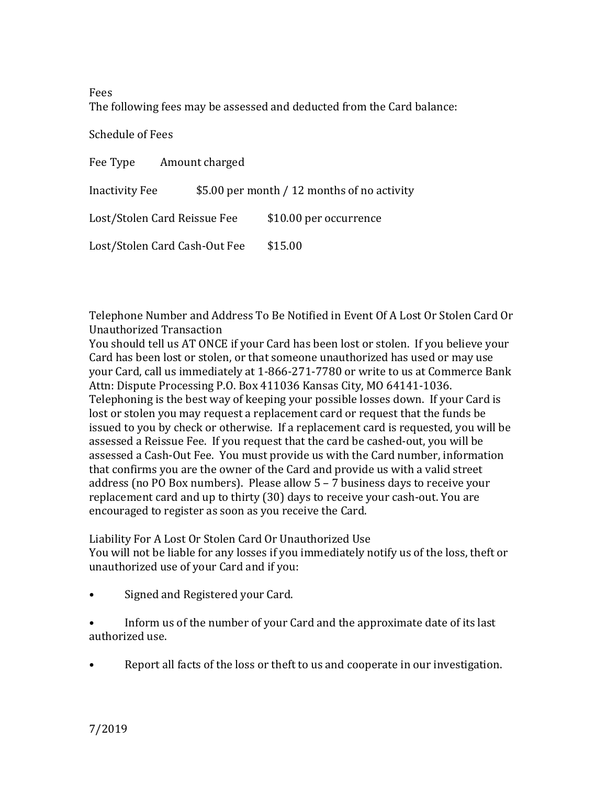Fees

The following fees may be assessed and deducted from the Card balance:

Schedule of Fees

| Amount charged<br>Fee Type    |                                             |                        |
|-------------------------------|---------------------------------------------|------------------------|
| Inactivity Fee                | \$5.00 per month / 12 months of no activity |                        |
| Lost/Stolen Card Reissue Fee  |                                             | \$10.00 per occurrence |
| Lost/Stolen Card Cash-Out Fee |                                             | \$15.00                |

Telephone Number and Address To Be Notified in Event Of A Lost Or Stolen Card Or Unauthorized Transaction

You should tell us AT ONCE if your Card has been lost or stolen. If you believe your Card has been lost or stolen, or that someone unauthorized has used or may use your Card, call us immediately at 1-866-271-7780 or write to us at Commerce Bank Attn: Dispute Processing P.O. Box 411036 Kansas City, MO 64141-1036. Telephoning is the best way of keeping your possible losses down. If your Card is lost or stolen you may request a replacement card or request that the funds be issued to you by check or otherwise. If a replacement card is requested, you will be assessed a Reissue Fee. If you request that the card be cashed-out, you will be assessed a Cash-Out Fee. You must provide us with the Card number, information that confirms you are the owner of the Card and provide us with a valid street address (no PO Box numbers). Please allow 5 – 7 business days to receive your replacement card and up to thirty (30) days to receive your cash-out. You are encouraged to register as soon as you receive the Card.

Liability For A Lost Or Stolen Card Or Unauthorized Use You will not be liable for any losses if you immediately notify us of the loss, theft or unauthorized use of your Card and if you:

• Signed and Registered your Card.

• Inform us of the number of your Card and the approximate date of its last authorized use.

• Report all facts of the loss or theft to us and cooperate in our investigation.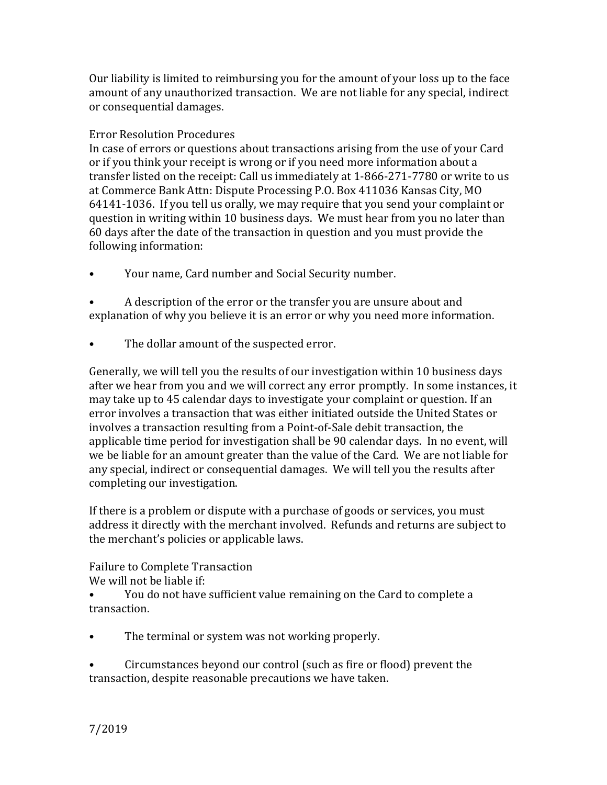Our liability is limited to reimbursing you for the amount of your loss up to the face amount of any unauthorized transaction. We are not liable for any special, indirect or consequential damages.

## Error Resolution Procedures

In case of errors or questions about transactions arising from the use of your Card or if you think your receipt is wrong or if you need more information about a transfer listed on the receipt: Call us immediately at 1-866-271-7780 or write to us at Commerce Bank Attn: Dispute Processing P.O. Box 411036 Kansas City, MO 64141-1036. If you tell us orally, we may require that you send your complaint or question in writing within 10 business days. We must hear from you no later than 60 days after the date of the transaction in question and you must provide the following information:

• Your name, Card number and Social Security number.

• A description of the error or the transfer you are unsure about and explanation of why you believe it is an error or why you need more information.

• The dollar amount of the suspected error.

Generally, we will tell you the results of our investigation within 10 business days after we hear from you and we will correct any error promptly. In some instances, it may take up to 45 calendar days to investigate your complaint or question. If an error involves a transaction that was either initiated outside the United States or involves a transaction resulting from a Point-of-Sale debit transaction, the applicable time period for investigation shall be 90 calendar days. In no event, will we be liable for an amount greater than the value of the Card. We are not liable for any special, indirect or consequential damages. We will tell you the results after completing our investigation.

If there is a problem or dispute with a purchase of goods or services, you must address it directly with the merchant involved. Refunds and returns are subject to the merchant's policies or applicable laws.

Failure to Complete Transaction

We will not be liable if:

- You do not have sufficient value remaining on the Card to complete a transaction.
- The terminal or system was not working properly.

• Circumstances beyond our control (such as fire or flood) prevent the transaction, despite reasonable precautions we have taken.